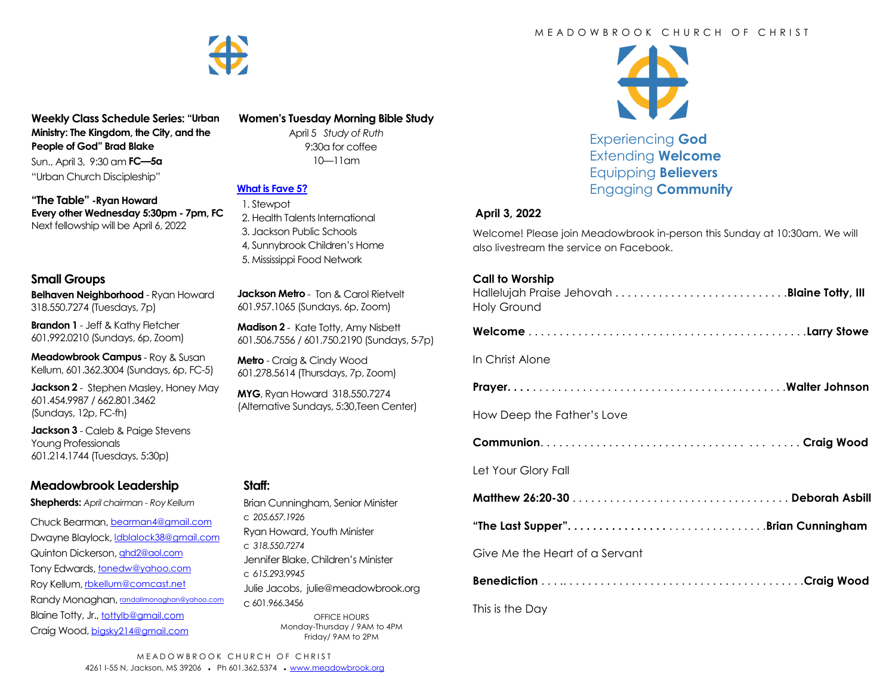

**Weekly Class Schedule Series: "Urban Ministry: The Kingdom, the City, and the People of God" Brad Blake** Sun., April 3, 9:30 am **FC—5a** "Urban Church Discipleship"

**"The Table" -Ryan Howard Every other Wednesday 5:30pm - 7pm, FC** Next fellowship will be April 6, 2022

#### **Small Groups**

**Belhaven Neighborhood** - Ryan Howard 318.550.7274 (Tuesdays, 7p)

**Brandon 1** - Jeff & Kathy Fletcher 601.992.0210 (Sundays, 6p, Zoom)

**Meadowbrook Campus** - Roy & Susan Kellum, 601.362.3004 (Sundays, 6p, FC-5)

**Jackson 2** - Stephen Masley, Honey May 601.454.9987 / 662.801.3462 (Sundays, 12p, FC-fh)

**Jackson 3** - Caleb & Paige Stevens Young Professionals 601.214.1744 (Tuesdays, 5:30p)

## **Meadowbrook Leadership**

**Shepherds:** *April chairman - Roy Kellum*

Chuck Bearman, [bearman4@gmail.com](mailto:bearman4@gmail.com) Dwayne Blaylock, *dblalock38@gmail.com* Quinton Dickerson, [qhd2@aol.com](mailto:qhd2@aol.com) Tony Edwards, [tonedw@yahoo.com](mailto:tonedw@yahoo.com) Roy Kellum, [rbkellum@comcast.net](mailto:rbkellum@comcast.net) Randy Monaghan, [randallmonaghan@yahoo.com](mailto:randallmonaghan@yahoo.com) Blaine Totty, Jr., [tottylb@gmail.com](mailto:tottylb@gmail.com) Craig Wood, [bigsky214@gmail.com](mailto:bigsky214@gmail.com)

#### **Women's Tuesday Morning Bible Study**

April 5 *Study of Ruth*  9:30a for coffee 10—11am

# **[What is Fave 5?](https://meadowbrook.ccbchurch.com/group_detail.php?group_id=131)**

 1. Stewpot 2. Health Talents International 3. Jackson Public Schools 4, Sunnybrook Children's Home 5. Mississippi Food Network

**Jackson Metro** - Ton & Carol Rietvelt 601.957.1065 (Sundays, 6p, Zoom)

**Madison 2** - Kate Totty, Amy Nisbett 601.506.7556 / 601.750.2190 (Sundays, 5-7p)

**Metro** - Craig & Cindy Wood 601.278.5614 (Thursdays, 7p, Zoom)

**MYG**, Ryan Howard 318.550.7274 (Alternative Sundays, 5:30,Teen Center)

#### **Staff:**

Brian Cunningham, Senior Minister c *205.657.1926* Ryan Howard, Youth Minister c *318.550.7274* Jennifer Blake, Children's Minister c *615.293.9945* Julie Jacobs, julie@meadowbrook.org c 601.966.3456 OFFICE HOURS Monday-Thursday / 9AM to 4PM Friday/ 9AM to 2PM

#### M F A D O W B R O O K C H U R C H O F C H R I S T



Experiencing **God** Extending **Welcome** Equipping **Believers** Engaging **Community**

#### **April 3, 2022**

Welcome! Please join Meadowbrook in-person this Sunday at 10:30am. We will also livestream the service on Facebook.

#### **Call to Worship**

| <b>Holy Ground</b>                |
|-----------------------------------|
|                                   |
| In Christ Alone                   |
|                                   |
| How Deep the Father's Love        |
|                                   |
| Let Your Glory Fall               |
|                                   |
| "The Last Supper"Brian Cunningham |
| Give Me the Heart of a Servant    |
|                                   |
| This is the Day                   |

MEADOWBROOK CHURCH OF CHRIST 4261 I-55 N, Jackson, MS 39206 • Ph 601.362.5374 • [www.meadowbrook.org](mailto:www.meadowbrook.org)